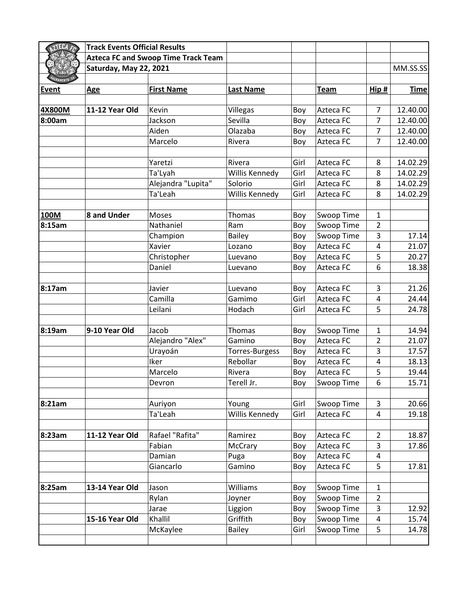| <b>ZTECA</b> FO | <b>Track Events Official Results</b>       |                    |                  |      |                   |                         |             |
|-----------------|--------------------------------------------|--------------------|------------------|------|-------------------|-------------------------|-------------|
|                 | <b>Azteca FC and Swoop Time Track Team</b> |                    |                  |      |                   |                         |             |
|                 | Saturday, May 22, 2021                     |                    |                  |      |                   |                         | MM.SS.SS    |
|                 |                                            |                    |                  |      |                   |                         |             |
| Event           | <b>Age</b>                                 | <b>First Name</b>  | <b>Last Name</b> |      | <b>Team</b>       | Hip#                    | <b>Time</b> |
|                 |                                            |                    |                  |      |                   |                         |             |
| 4X800M          | 11-12 Year Old                             | Kevin              | Villegas         | Boy  | Azteca FC         | $\overline{7}$          | 12.40.00    |
| 8:00am          |                                            | Jackson            | Sevilla          | Boy  | Azteca FC         | 7                       | 12.40.00    |
|                 |                                            | Aiden              | Olazaba          | Boy  | Azteca FC         | $\overline{7}$          | 12.40.00    |
|                 |                                            | Marcelo            | Rivera           | Boy  | Azteca FC         | 7                       | 12.40.00    |
|                 |                                            |                    |                  |      |                   |                         |             |
|                 |                                            | Yaretzi            | Rivera           | Girl | Azteca FC         | 8                       | 14.02.29    |
|                 |                                            | Ta'Lyah            | Willis Kennedy   | Girl | Azteca FC         | 8                       | 14.02.29    |
|                 |                                            | Alejandra "Lupita" | Solorio          | Girl | Azteca FC         | 8                       | 14.02.29    |
|                 |                                            | Ta'Leah            | Willis Kennedy   | Girl | Azteca FC         | 8                       | 14.02.29    |
| 100M            | 8 and Under                                | Moses              | <b>Thomas</b>    | Boy  | Swoop Time        | $\mathbf{1}$            |             |
| 8:15am          |                                            | Nathaniel          | Ram              | Boy  | <b>Swoop Time</b> | $\overline{2}$          |             |
|                 |                                            | Champion           | <b>Bailey</b>    | Boy  | Swoop Time        | 3                       | 17.14       |
|                 |                                            | Xavier             | Lozano           | Boy  | Azteca FC         | $\overline{4}$          | 21.07       |
|                 |                                            | Christopher        | Luevano          | Boy  | Azteca FC         | 5                       | 20.27       |
|                 |                                            | Daniel             | Luevano          | Boy  | Azteca FC         | 6                       | 18.38       |
| 8:17am          |                                            | Javier             | Luevano          | Boy  | Azteca FC         | 3                       | 21.26       |
|                 |                                            | Camilla            | Gamimo           | Girl | Azteca FC         | $\overline{4}$          | 24.44       |
|                 |                                            | Leilani            | Hodach           | Girl | Azteca FC         | 5                       | 24.78       |
|                 |                                            |                    |                  |      |                   |                         |             |
| 8:19am          | 9-10 Year Old                              | Jacob              | Thomas           | Boy  | Swoop Time        | 1                       | 14.94       |
|                 |                                            | Alejandro "Alex"   | Gamino           | Boy  | Azteca FC         | 2                       | 21.07       |
|                 |                                            | Urayoán            | Torres-Burgess   | Boy  | Azteca FC         | 3                       | 17.57       |
|                 |                                            | Iker               | Rebollar         | Boy  | Azteca FC         | 4                       | 18.13       |
|                 |                                            | Marcelo            | Rivera           | Boy  | Azteca FC         | 5                       | 19.44       |
|                 |                                            | Devron             | Terell Jr.       | Boy  | Swoop Time        | 6                       | 15.71       |
| 8:21am          |                                            | Auriyon            | Young            | Girl | Swoop Time        | 3                       | 20.66       |
|                 |                                            | Ta'Leah            | Willis Kennedy   | Girl | Azteca FC         | $\overline{\mathbf{4}}$ | 19.18       |
| 8:23am          | 11-12 Year Old                             | Rafael "Rafita"    | Ramirez          | Boy  | Azteca FC         | $\overline{2}$          | 18.87       |
|                 |                                            | Fabian             | McCrary          | Boy  | Azteca FC         | 3                       | 17.86       |
|                 |                                            | Damian             | Puga             | Boy  | Azteca FC         | 4                       |             |
|                 |                                            | Giancarlo          | Gamino           | Boy  | Azteca FC         | 5                       | 17.81       |
|                 |                                            |                    |                  |      |                   |                         |             |
| 8:25am          | 13-14 Year Old                             | Jason              | Williams         | Boy  | Swoop Time        | $\mathbf 1$             |             |
|                 |                                            | Rylan              | Joyner           | Boy  | Swoop Time        | $\overline{2}$          |             |
|                 |                                            | Jarae              | Liggion          | Boy  | Swoop Time        | 3                       | 12.92       |
|                 | 15-16 Year Old                             | Khallil            | Griffith         | Boy  | Swoop Time        | $\overline{\mathbf{4}}$ | 15.74       |
|                 |                                            | McKaylee           | <b>Bailey</b>    | Girl | Swoop Time        | 5                       | 14.78       |
|                 |                                            |                    |                  |      |                   |                         |             |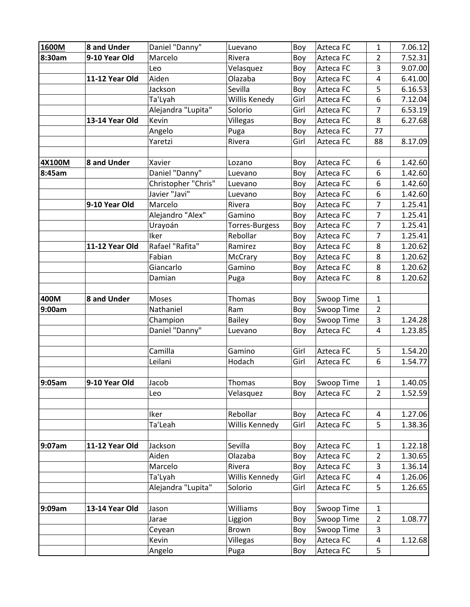| 1600M  | 8 and Under    | Daniel "Danny"      | Luevano        | Boy  | Azteca FC  | $\mathbf{1}$   | 7.06.12 |
|--------|----------------|---------------------|----------------|------|------------|----------------|---------|
| 8:30am | 9-10 Year Old  | Marcelo             | Rivera         | Boy  | Azteca FC  | $\overline{2}$ | 7.52.31 |
|        |                | Leo                 | Velasquez      | Boy  | Azteca FC  | 3              | 9.07.00 |
|        | 11-12 Year Old | Aiden               | Olazaba        | Boy  | Azteca FC  | 4              | 6.41.00 |
|        |                | Jackson             | Sevilla        | Boy  | Azteca FC  | 5              | 6.16.53 |
|        |                | Ta'Lyah             | Willis Kenedy  | Girl | Azteca FC  | 6              | 7.12.04 |
|        |                | Alejandra "Lupita"  | Solorio        | Girl | Azteca FC  | 7              | 6.53.19 |
|        | 13-14 Year Old | Kevin               | Villegas       | Boy  | Azteca FC  | 8              | 6.27.68 |
|        |                | Angelo              | Puga           | Boy  | Azteca FC  | 77             |         |
|        |                | Yaretzi             | Rivera         | Girl | Azteca FC  | 88             | 8.17.09 |
|        |                |                     |                |      |            |                |         |
| 4X100M | 8 and Under    | Xavier              | Lozano         | Boy  | Azteca FC  | 6              | 1.42.60 |
| 8:45am |                | Daniel "Danny"      | Luevano        | Boy  | Azteca FC  | 6              | 1.42.60 |
|        |                | Christopher "Chris" | Luevano        | Boy  | Azteca FC  | 6              | 1.42.60 |
|        |                | Javier "Javi"       | Luevano        | Boy  | Azteca FC  | 6              | 1.42.60 |
|        | 9-10 Year Old  | Marcelo             | Rivera         | Boy  | Azteca FC  | $\overline{7}$ | 1.25.41 |
|        |                | Alejandro "Alex"    | Gamino         | Boy  | Azteca FC  | $\overline{7}$ | 1.25.41 |
|        |                | Urayoán             | Torres-Burgess | Boy  | Azteca FC  | 7              | 1.25.41 |
|        |                | Iker                | Rebollar       | Boy  | Azteca FC  | $\overline{7}$ | 1.25.41 |
|        | 11-12 Year Old | Rafael "Rafita"     | Ramirez        | Boy  | Azteca FC  | 8              | 1.20.62 |
|        |                | Fabian              | McCrary        | Boy  | Azteca FC  | 8              | 1.20.62 |
|        |                | Giancarlo           | Gamino         | Boy  | Azteca FC  | 8              | 1.20.62 |
|        |                | Damian              | Puga           | Boy  | Azteca FC  | 8              | 1.20.62 |
|        |                |                     |                |      |            |                |         |
| 400M   | 8 and Under    | Moses               | Thomas         | Boy  | Swoop Time | $\mathbf{1}$   |         |
| 9:00am |                | Nathaniel           | Ram            | Boy  | Swoop Time | $\overline{2}$ |         |
|        |                | Champion            | <b>Bailey</b>  | Boy  | Swoop Time | 3              | 1.24.28 |
|        |                | Daniel "Danny"      | Luevano        | Boy  | Azteca FC  | 4              | 1.23.85 |
|        |                |                     |                |      |            |                |         |
|        |                | Camilla             | Gamino         | Girl | Azteca FC  | 5              | 1.54.20 |
|        |                | Leilani             | Hodach         | Girl | Azteca FC  | 6              | 1.54.77 |
|        |                |                     |                |      |            |                |         |
| 9:05am | 9-10 Year Old  | Jacob               | Thomas         | Boy  | Swoop Time | $\mathbf{1}$   | 1.40.05 |
|        |                | Leo                 | Velasquez      | Boy  | Azteca FC  | $\overline{2}$ | 1.52.59 |
|        |                |                     |                |      |            |                |         |
|        |                | Iker                | Rebollar       | Boy  | Azteca FC  | 4              | 1.27.06 |
|        |                | Ta'Leah             | Willis Kennedy | Girl | Azteca FC  | 5              | 1.38.36 |
|        |                |                     |                |      |            |                |         |
| 9:07am | 11-12 Year Old | Jackson             | Sevilla        | Boy  | Azteca FC  | $\mathbf{1}$   | 1.22.18 |
|        |                | Aiden               | Olazaba        | Boy  | Azteca FC  | $\overline{2}$ | 1.30.65 |
|        |                | Marcelo             | Rivera         | Boy  | Azteca FC  | 3              | 1.36.14 |
|        |                | Ta'Lyah             | Willis Kennedy | Girl | Azteca FC  | 4              | 1.26.06 |
|        |                | Alejandra "Lupita"  | Solorio        | Girl | Azteca FC  | 5              | 1.26.65 |
|        |                |                     |                |      |            |                |         |
| 9:09am | 13-14 Year Old | Jason               | Williams       | Boy  | Swoop Time | $\mathbf{1}$   |         |
|        |                | Jarae               | Liggion        | Boy  | Swoop Time | $\overline{2}$ | 1.08.77 |
|        |                | Ceyean              | Brown          | Boy  | Swoop Time | 3              |         |
|        |                | Kevin               | Villegas       | Boy  | Azteca FC  | 4              | 1.12.68 |
|        |                | Angelo              | Puga           | Boy  | Azteca FC  | 5              |         |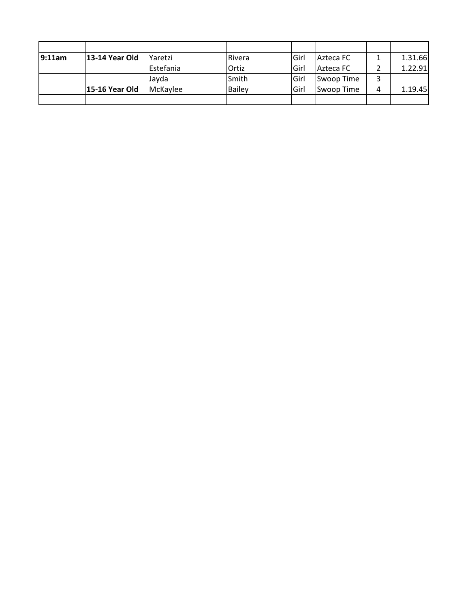| 9:11am | 13-14 Year Old | Yaretzi   | Rivera | lGirl | Azteca FC  |   | 1.31.66 |
|--------|----------------|-----------|--------|-------|------------|---|---------|
|        |                | Estefania | Ortiz  | Girl  | Azteca FC  |   | 1.22.91 |
|        |                | Jayda     | Smith  | Girl  | Swoop Time | 3 |         |
|        | 15-16 Year Old | McKaylee  | Bailey | Girl  | Swoop Time | 4 | 1.19.45 |